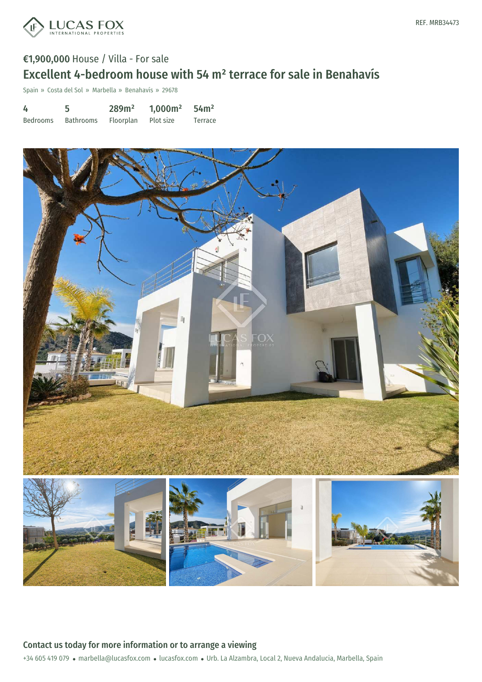

# €1,900,000 House / Villa - For sale Excellent 4-bedroom house with 54 m² terrace for sale in Benahavís

Spain » Costa del Sol » Marbella » Benahavís » 29678

| 4               | 5         | 289m <sup>2</sup> | 1,000m <sup>2</sup> | 54m <sup>2</sup> |
|-----------------|-----------|-------------------|---------------------|------------------|
| <b>Bedrooms</b> | Bathrooms | Floorplan         | Plot size           | Terrace          |



### +34 605 419 079 · marbella@lucasfox.com · lucasfox.com · Urb. La Alzambra, Local 2, Nueva Andalucia, Marbella, Spain Contact us today for more information or to arrange a viewing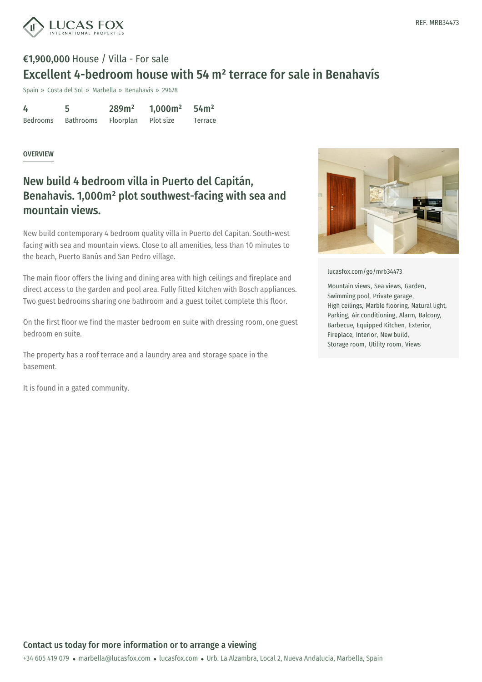![](_page_1_Picture_0.jpeg)

# €1,900,000 House / Villa - For sale Excellent 4-bedroom house with 54 m² terrace for sale in Benahavís

Spain » Costa del Sol » Marbella » Benahavís » 29678

| 4               |                  | 289m <sup>2</sup> | $1,000m^2$ | 54 <sup>2</sup> |
|-----------------|------------------|-------------------|------------|-----------------|
| <b>Bedrooms</b> | <b>Bathrooms</b> | <b>Floorplan</b>  | Plot size  | Terrace         |

#### OVERVIEW

### New build 4 bedroom villa in Puerto del Capitán, Benahavis. 1,000m² plot southwest-facing with sea and mountain views.

New build contemporary 4 bedroom quality villa in Puerto del Capitan. South-west facing with sea and mountain views. Close to all amenities, less than 10 minutes to the beach, Puerto Banús and San Pedro village.

The main floor offers the living and dining area with high ceilings and fireplace and direct access to the garden and pool area. Fully fitted kitchen with Bosch appliances. Two guest bedrooms sharing one bathroom and a guest toilet complete this floor.

On the first floor we find the master bedroom en suite with dressing room, one guest bedroom en suite.

The property has a roof terrace and a laundry area and storage space in the basement.

It is found in a gated community.

![](_page_1_Picture_12.jpeg)

[lucasfox.com/go/mrb34473](https://www.lucasfox.com/go/mrb34473)

Mountain views, Sea views, Garden, Swimming pool, Private garage, High ceilings, Marble flooring, Natural light, Parking, Air conditioning, Alarm, Balcony, Barbecue, Equipped Kitchen, Exterior, Fireplace, Interior, New build, Storage room, Utility room, Views